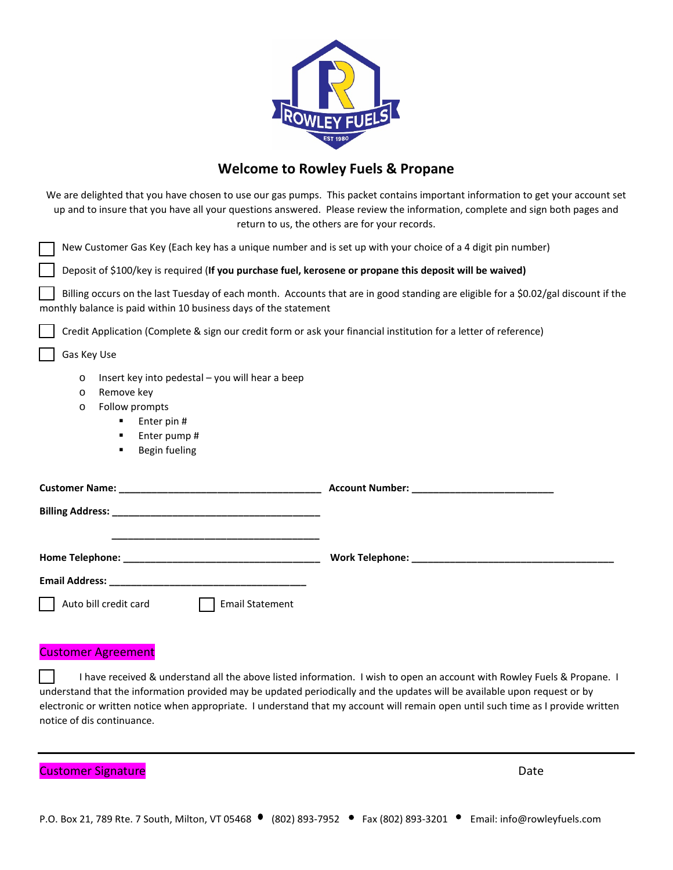

## **Welcome to Rowley Fuels & Propane**

|                                                                                                                                                                                                                               | We are delighted that you have chosen to use our gas pumps. This packet contains important information to get your account set<br>up and to insure that you have all your questions answered. Please review the information, complete and sign both pages and<br>return to us, the others are for your records. |
|-------------------------------------------------------------------------------------------------------------------------------------------------------------------------------------------------------------------------------|-----------------------------------------------------------------------------------------------------------------------------------------------------------------------------------------------------------------------------------------------------------------------------------------------------------------|
| New Customer Gas Key (Each key has a unique number and is set up with your choice of a 4 digit pin number)                                                                                                                    |                                                                                                                                                                                                                                                                                                                 |
| Deposit of \$100/key is required (If you purchase fuel, kerosene or propane this deposit will be waived)                                                                                                                      |                                                                                                                                                                                                                                                                                                                 |
| monthly balance is paid within 10 business days of the statement                                                                                                                                                              | Billing occurs on the last Tuesday of each month. Accounts that are in good standing are eligible for a \$0.02/gal discount if the                                                                                                                                                                              |
| Credit Application (Complete & sign our credit form or ask your financial institution for a letter of reference)                                                                                                              |                                                                                                                                                                                                                                                                                                                 |
| Gas Key Use                                                                                                                                                                                                                   |                                                                                                                                                                                                                                                                                                                 |
| Insert key into pedestal – you will hear a beep<br>$\circ$<br>Remove key<br>$\circ$<br>Follow prompts<br>$\circ$<br>Enter pin #<br>٠<br>Enter pump #<br>٠<br>Begin fueling<br>٠                                               |                                                                                                                                                                                                                                                                                                                 |
|                                                                                                                                                                                                                               |                                                                                                                                                                                                                                                                                                                 |
| <u> 1980 - Jan James James, martin amerikan bahasa (</u>                                                                                                                                                                      |                                                                                                                                                                                                                                                                                                                 |
|                                                                                                                                                                                                                               |                                                                                                                                                                                                                                                                                                                 |
| Email Address: National Address: National Address: National Address: National Address: National Address: National Address: National Address: National Address: National Address: National Address: National Address: National |                                                                                                                                                                                                                                                                                                                 |
| Auto bill credit card<br><b>Email Statement</b>                                                                                                                                                                               |                                                                                                                                                                                                                                                                                                                 |

## Customer Agreement

I have received & understand all the above listed information. I wish to open an account with Rowley Fuels & Propane. I understand that the information provided may be updated periodically and the updates will be available upon request or by electronic or written notice when appropriate. I understand that my account will remain open until such time as I provide written notice of dis continuance.

Customer Signature and Customer Signature and Customer Signature and Customer Signature and Customer Date